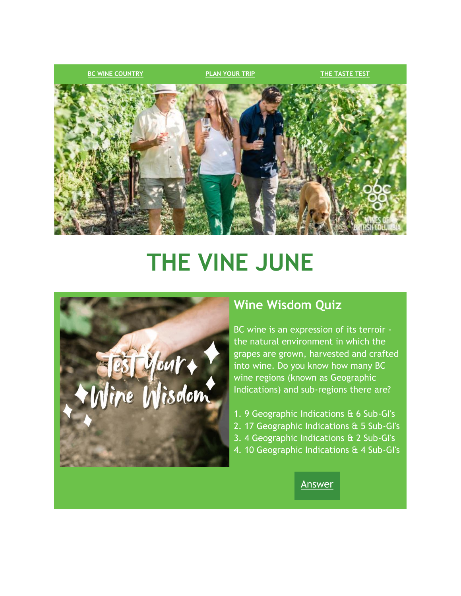

# **THE VINE JUNE**



## **Wine Wisdom Quiz**

BC wine is an expression of its terroir the natural environment in which the grapes are grown, harvested and crafted into wine. Do you know how many BC wine regions (known as Geographic Indications) and sub-regions there are?

- 1. 9 Geographic Indications & 6 Sub-GI's
- 2. 17 Geographic Indications & 5 Sub-GI's
- 3. 4 Geographic Indications & 2 Sub-GI's
- 4. 10 Geographic Indications & 4 Sub-GI's

[Answer](https://click.winesofbc.winebc.com/?qs=d1cdae2db366afc7f4ba52e28244aa6414b4ef6b5875cb8caee87001e7e9038020aa1550f0122c052e713a735c78be529eda67f91aa4df89)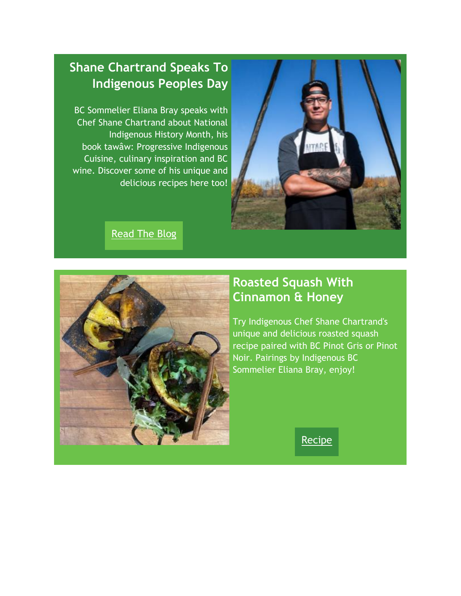

# **Shane Chartrand Speaks To Indigenous Peoples Day**

BC Sommelier Eliana Bray speaks with Chef Shane Chartrand about National Indigenous History Month, his book tawâw: Progressive Indigenous Cuisine, culinary inspiration and BC wine. Discover some of his unique and delicious recipes here too!

#### **Read The Blog**



# **Roasted Squash With Cinnamon & Honey**

Try Indigenous Chef Shane Chartrand's unique and delicious roasted squash recipe paired with BC Pinot Gris or Pinot Noir. Pairings by Indigenous BC Sommelier Eliana Bray, enjoy!

[Recipe](https://click.winesofbc.winebc.com/?qs=d1cdae2db366afc7c6ec5b4c51b473acce8457df23dc89a977f0299d5952d6ece5a629fbff679240693cc57dfa3845f71d469e3baf4bf400)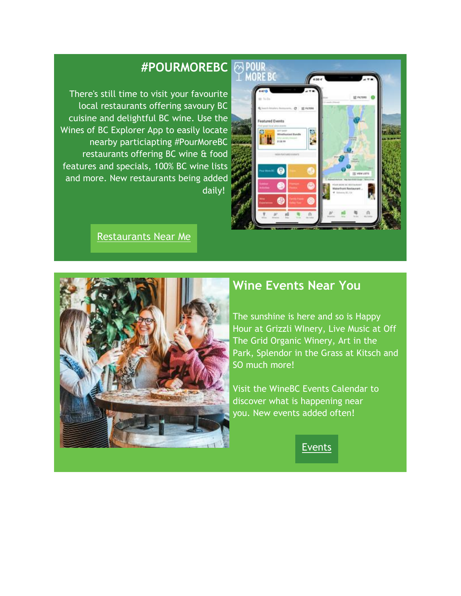# **POUR**<br>**MORE BC** and Event ß ŀ,

#### **#POURMOREBC**

There's still time to visit your favourite local restaurants offering savoury BC cuisine and delightful BC wine. Use the Wines of BC Explorer App to easily locate nearby particiapting #PourMoreBC restaurants offering BC wine & food features and specials, 100% BC wine lists and more. New restaurants being added daily!

Restaurants Near Me



## **Wine Events Near You**

The sunshine is here and so is Happy Hour at Grizzli WInery, Live Music at Off The Grid Organic Winery, Art in the Park, Splendor in the Grass at Kitsch and SO much more!

Visit the WineBC Events Calendar to discover what is happening near you. New events added often!